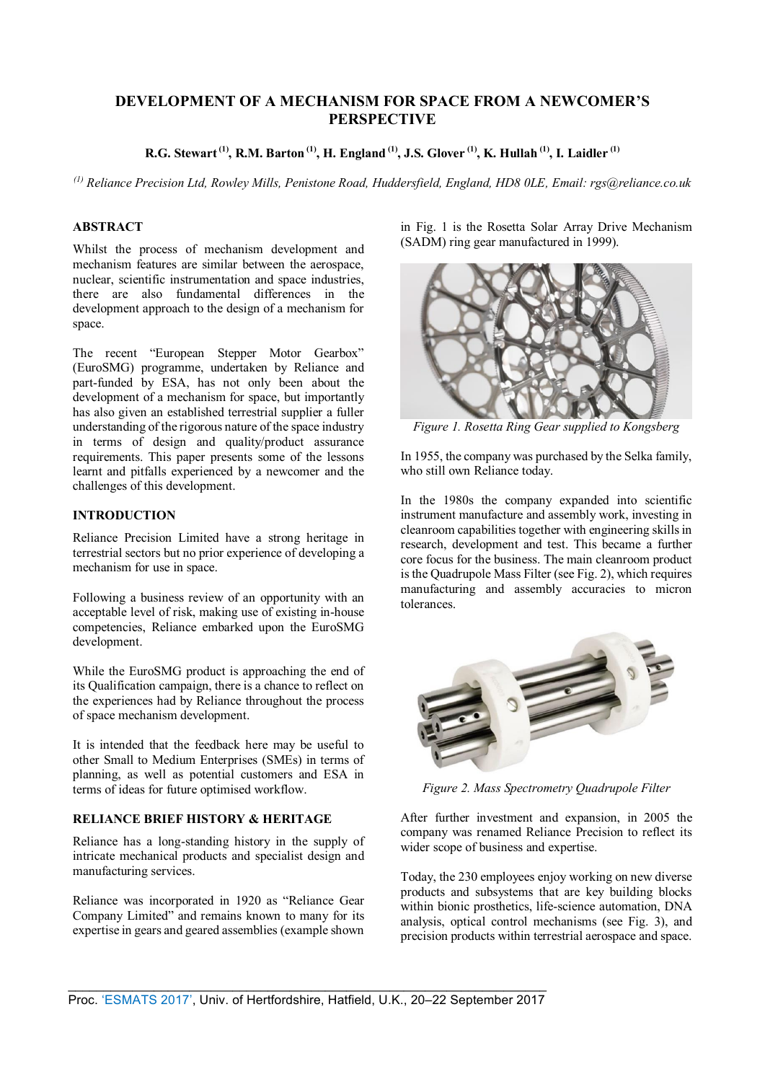# **DEVELOPMENT OF A MECHANISM FOR SPACE FROM A NEWCOMER'S PERSPECTIVE**

**R.G. Stewart(1), R.M. Barton (1), H. England (1), J.S. Glover (1), K. Hullah (1), I. Laidler (1)**

*(1) Reliance Precision Ltd, Rowley Mills, Penistone Road, Huddersfield, England, HD8 0LE, Email: rgs@reliance.co.uk* 

## **ABSTRACT**

Whilst the process of mechanism development and mechanism features are similar between the aerospace, nuclear, scientific instrumentation and space industries, there are also fundamental differences in the development approach to the design of a mechanism for space.

The recent "European Stepper Motor Gearbox" (EuroSMG) programme, undertaken by Reliance and part-funded by ESA, has not only been about the development of a mechanism for space, but importantly has also given an established terrestrial supplier a fuller understanding of the rigorous nature of the space industry in terms of design and quality/product assurance requirements. This paper presents some of the lessons learnt and pitfalls experienced by a newcomer and the challenges of this development.

## **INTRODUCTION**

Reliance Precision Limited have a strong heritage in terrestrial sectors but no prior experience of developing a mechanism for use in space.

Following a business review of an opportunity with an acceptable level of risk, making use of existing in-house competencies, Reliance embarked upon the EuroSMG development.

While the EuroSMG product is approaching the end of its Qualification campaign, there is a chance to reflect on the experiences had by Reliance throughout the process of space mechanism development.

It is intended that the feedback here may be useful to other Small to Medium Enterprises (SMEs) in terms of planning, as well as potential customers and ESA in terms of ideas for future optimised workflow.

#### **RELIANCE BRIEF HISTORY & HERITAGE**

Reliance has a long-standing history in the supply of intricate mechanical products and specialist design and manufacturing services.

Reliance was incorporated in 1920 as "Reliance Gear Company Limited" and remains known to many for its expertise in gears and geared assemblies (example shown in Fig. 1 is the Rosetta Solar Array Drive Mechanism (SADM) ring gear manufactured in 1999).



*Figure 1. Rosetta Ring Gear supplied to Kongsberg*

In 1955, the company was purchased by the Selka family, who still own Reliance today.

In the 1980s the company expanded into scientific instrument manufacture and assembly work, investing in cleanroom capabilities together with engineering skills in research, development and test. This became a further core focus for the business. The main cleanroom product is the Quadrupole Mass Filter (see Fig. 2), which requires manufacturing and assembly accuracies to micron tolerances.



*Figure 2. Mass Spectrometry Quadrupole Filter*

After further investment and expansion, in 2005 the company was renamed Reliance Precision to reflect its wider scope of business and expertise.

Today, the 230 employees enjoy working on new diverse products and subsystems that are key building blocks within bionic prosthetics, life-science automation, DNA analysis, optical control mechanisms (see Fig. 3), and precision products within terrestrial aerospace and space.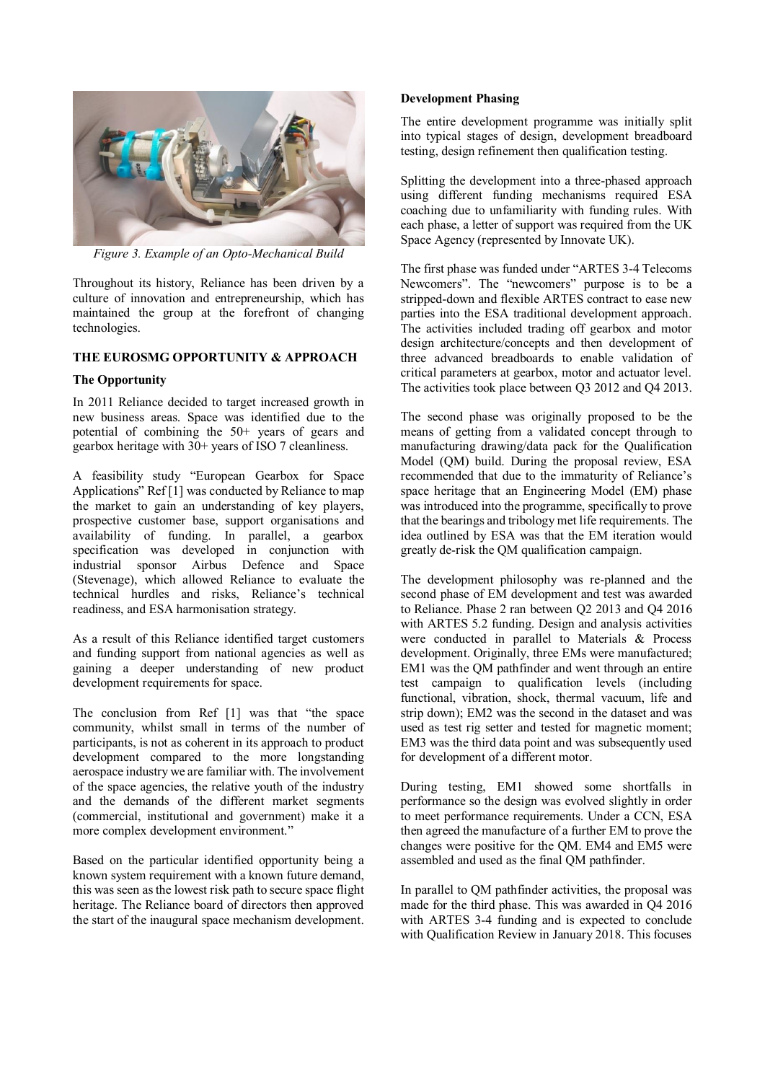

*Figure 3. Example of an Opto-Mechanical Build*

Throughout its history, Reliance has been driven by a culture of innovation and entrepreneurship, which has maintained the group at the forefront of changing technologies.

### **THE EUROSMG OPPORTUNITY & APPROACH**

## **The Opportunity**

In 2011 Reliance decided to target increased growth in new business areas. Space was identified due to the potential of combining the 50+ years of gears and gearbox heritage with  $30+$  years of ISO 7 cleanliness.

A feasibility study "European Gearbox for Space Applications" Ref [1] was conducted by Reliance to map the market to gain an understanding of key players, prospective customer base, support organisations and availability of funding. In parallel, a gearbox specification was developed in conjunction with industrial sponsor Airbus Defence and Space (Stevenage), which allowed Reliance to evaluate the technical hurdles and risks, Reliance's technical readiness, and ESA harmonisation strategy.

As a result of this Reliance identified target customers and funding support from national agencies as well as gaining a deeper understanding of new product development requirements for space.

The conclusion from Ref [1] was that "the space community, whilst small in terms of the number of participants, is not as coherent in its approach to product development compared to the more longstanding aerospace industry we are familiar with. The involvement of the space agencies, the relative youth of the industry and the demands of the different market segments (commercial, institutional and government) make it a more complex development environment."

Based on the particular identified opportunity being a known system requirement with a known future demand, this was seen as the lowest risk path to secure space flight heritage. The Reliance board of directors then approved the start of the inaugural space mechanism development.

#### **Development Phasing**

The entire development programme was initially split into typical stages of design, development breadboard testing, design refinement then qualification testing.

Splitting the development into a three-phased approach using different funding mechanisms required ESA coaching due to unfamiliarity with funding rules. With each phase, a letter of support was required from the UK Space Agency (represented by Innovate UK).

The first phase was funded under "ARTES 3-4 Telecoms Newcomers". The "newcomers" purpose is to be a stripped-down and flexible ARTES contract to ease new parties into the ESA traditional development approach. The activities included trading off gearbox and motor design architecture/concepts and then development of three advanced breadboards to enable validation of critical parameters at gearbox, motor and actuator level. The activities took place between Q3 2012 and Q4 2013.

The second phase was originally proposed to be the means of getting from a validated concept through to manufacturing drawing/data pack for the Qualification Model (QM) build. During the proposal review, ESA recommended that due to the immaturity of Reliance's space heritage that an Engineering Model (EM) phase was introduced into the programme, specifically to prove that the bearings and tribology met life requirements. The idea outlined by ESA was that the EM iteration would greatly de-risk the QM qualification campaign.

The development philosophy was re-planned and the second phase of EM development and test was awarded to Reliance. Phase 2 ran between Q2 2013 and Q4 2016 with ARTES 5.2 funding. Design and analysis activities were conducted in parallel to Materials & Process development. Originally, three EMs were manufactured; EM1 was the QM pathfinder and went through an entire test campaign to qualification levels (including functional, vibration, shock, thermal vacuum, life and strip down); EM2 was the second in the dataset and was used as test rig setter and tested for magnetic moment; EM3 was the third data point and was subsequently used for development of a different motor.

During testing, EM1 showed some shortfalls in performance so the design was evolved slightly in order to meet performance requirements. Under a CCN, ESA then agreed the manufacture of a further EM to prove the changes were positive for the QM. EM4 and EM5 were assembled and used as the final QM pathfinder.

In parallel to QM pathfinder activities, the proposal was made for the third phase. This was awarded in Q4 2016 with ARTES 3-4 funding and is expected to conclude with Qualification Review in January 2018. This focuses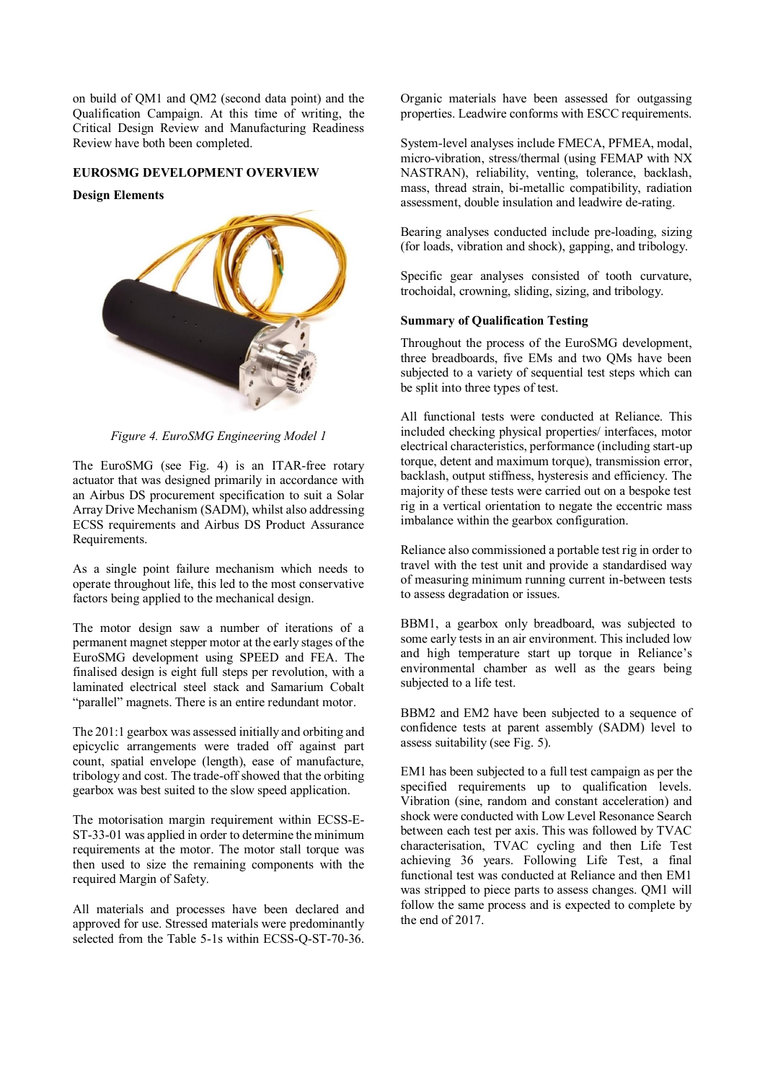on build of QM1 and QM2 (second data point) and the Qualification Campaign. At this time of writing, the Critical Design Review and Manufacturing Readiness Review have both been completed.

#### **EUROSMG DEVELOPMENT OVERVIEW**

#### **Design Elements**



*Figure 4. EuroSMG Engineering Model 1*

The EuroSMG (see Fig. 4) is an ITAR-free rotary actuator that was designed primarily in accordance with an Airbus DS procurement specification to suit a Solar Array Drive Mechanism (SADM), whilst also addressing ECSS requirements and Airbus DS Product Assurance Requirements.

As a single point failure mechanism which needs to operate throughout life, this led to the most conservative factors being applied to the mechanical design.

The motor design saw a number of iterations of a permanent magnet stepper motor at the early stages of the EuroSMG development using SPEED and FEA. The finalised design is eight full steps per revolution, with a laminated electrical steel stack and Samarium Cobalt "parallel" magnets. There is an entire redundant motor.

The 201:1 gearbox was assessed initially and orbiting and epicyclic arrangements were traded off against part count, spatial envelope (length), ease of manufacture, tribology and cost. The trade-off showed that the orbiting gearbox was best suited to the slow speed application.

The motorisation margin requirement within ECSS-E-ST-33-01 was applied in order to determine the minimum requirements at the motor. The motor stall torque was then used to size the remaining components with the required Margin of Safety.

All materials and processes have been declared and approved for use. Stressed materials were predominantly selected from the Table 5-1s within ECSS-Q-ST-70-36. Organic materials have been assessed for outgassing properties. Leadwire conforms with ESCC requirements.

System-level analyses include FMECA, PFMEA, modal, micro-vibration, stress/thermal (using FEMAP with NX NASTRAN), reliability, venting, tolerance, backlash, mass, thread strain, bi-metallic compatibility, radiation assessment, double insulation and leadwire de-rating.

Bearing analyses conducted include pre-loading, sizing (for loads, vibration and shock), gapping, and tribology.

Specific gear analyses consisted of tooth curvature, trochoidal, crowning, sliding, sizing, and tribology.

### **Summary of Qualification Testing**

Throughout the process of the EuroSMG development, three breadboards, five EMs and two QMs have been subjected to a variety of sequential test steps which can be split into three types of test.

All functional tests were conducted at Reliance. This included checking physical properties/ interfaces, motor electrical characteristics, performance (including start-up torque, detent and maximum torque), transmission error, backlash, output stiffness, hysteresis and efficiency. The majority of these tests were carried out on a bespoke test rig in a vertical orientation to negate the eccentric mass imbalance within the gearbox configuration.

Reliance also commissioned a portable test rig in order to travel with the test unit and provide a standardised way of measuring minimum running current in-between tests to assess degradation or issues.

BBM1, a gearbox only breadboard, was subjected to some early tests in an air environment. This included low and high temperature start up torque in Reliance's environmental chamber as well as the gears being subjected to a life test.

BBM2 and EM2 have been subjected to a sequence of confidence tests at parent assembly (SADM) level to assess suitability (see Fig. 5).

EM1 has been subjected to a full test campaign as per the specified requirements up to qualification levels. Vibration (sine, random and constant acceleration) and shock were conducted with Low Level Resonance Search between each test per axis. This was followed by TVAC characterisation, TVAC cycling and then Life Test achieving 36 years. Following Life Test, a final functional test was conducted at Reliance and then EM1 was stripped to piece parts to assess changes. QM1 will follow the same process and is expected to complete by the end of 2017.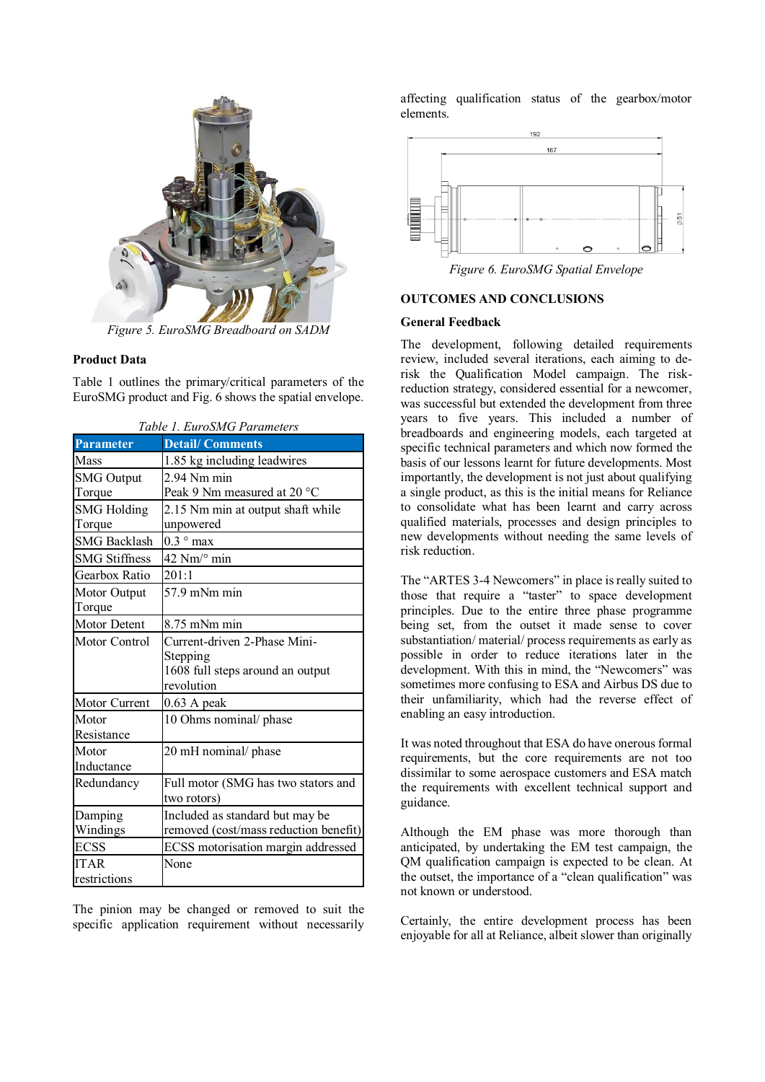

*Figure 5. EuroSMG Breadboard on SADM*

### **Product Data**

Table 1 outlines the primary/critical parameters of the EuroSMG product and Fig. 6 shows the spatial envelope.

| <b>Parameter</b>     | <b>Detail/Comments</b>                |  |
|----------------------|---------------------------------------|--|
| Mass                 | 1.85 kg including leadwires           |  |
| <b>SMG Output</b>    | $2.94$ Nm min                         |  |
| Torque               | Peak 9 Nm measured at 20 °C           |  |
| <b>SMG</b> Holding   | 2.15 Nm min at output shaft while     |  |
| Torque               | unpowered                             |  |
| <b>SMG</b> Backlash  | $0.3 \degree$ max                     |  |
| <b>SMG Stiffness</b> | $42 \text{ Nm}$ <sup>o</sup> min      |  |
| Gearbox Ratio        | 201:1                                 |  |
| Motor Output         | 57.9 mNm min                          |  |
| Torque               |                                       |  |
| Motor Detent         | 8.75 mNm min                          |  |
| Motor Control        | Current-driven 2-Phase Mini-          |  |
|                      | Stepping                              |  |
|                      | 1608 full steps around an output      |  |
|                      | revolution                            |  |
| Motor Current        | $0.63$ A peak                         |  |
| Motor                | 10 Ohms nominal/ phase                |  |
| Resistance           |                                       |  |
| Motor                | 20 mH nominal/ phase                  |  |
| Inductance           |                                       |  |
| Redundancy           | Full motor (SMG has two stators and   |  |
|                      | two rotors)                           |  |
| Damping              | Included as standard but may be       |  |
| Windings             | removed (cost/mass reduction benefit) |  |
| <b>ECSS</b>          | ECSS motorisation margin addressed    |  |
| <b>ITAR</b>          | None                                  |  |
| restrictions         |                                       |  |

|  |  | Table 1. EuroSMG Parameters |
|--|--|-----------------------------|
|--|--|-----------------------------|

The pinion may be changed or removed to suit the specific application requirement without necessarily affecting qualification status of the gearbox/motor elements.



*Figure 6. EuroSMG Spatial Envelope*

#### **OUTCOMES AND CONCLUSIONS**

### **General Feedback**

The development, following detailed requirements review, included several iterations, each aiming to derisk the Qualification Model campaign. The riskreduction strategy, considered essential for a newcomer, was successful but extended the development from three years to five years. This included a number of breadboards and engineering models, each targeted at specific technical parameters and which now formed the basis of our lessons learnt for future developments. Most importantly, the development is not just about qualifying a single product, as this is the initial means for Reliance to consolidate what has been learnt and carry across qualified materials, processes and design principles to new developments without needing the same levels of risk reduction.

The "ARTES 3-4 Newcomers" in place is really suited to those that require a "taster" to space development principles. Due to the entire three phase programme being set, from the outset it made sense to cover substantiation/ material/ process requirements as early as possible in order to reduce iterations later in the development. With this in mind, the "Newcomers" was sometimes more confusing to ESA and Airbus DS due to their unfamiliarity, which had the reverse effect of enabling an easy introduction.

It was noted throughout that ESA do have onerous formal requirements, but the core requirements are not too dissimilar to some aerospace customers and ESA match the requirements with excellent technical support and guidance.

Although the EM phase was more thorough than anticipated, by undertaking the EM test campaign, the QM qualification campaign is expected to be clean. At the outset, the importance of a "clean qualification" was not known or understood.

Certainly, the entire development process has been enjoyable for all at Reliance, albeit slower than originally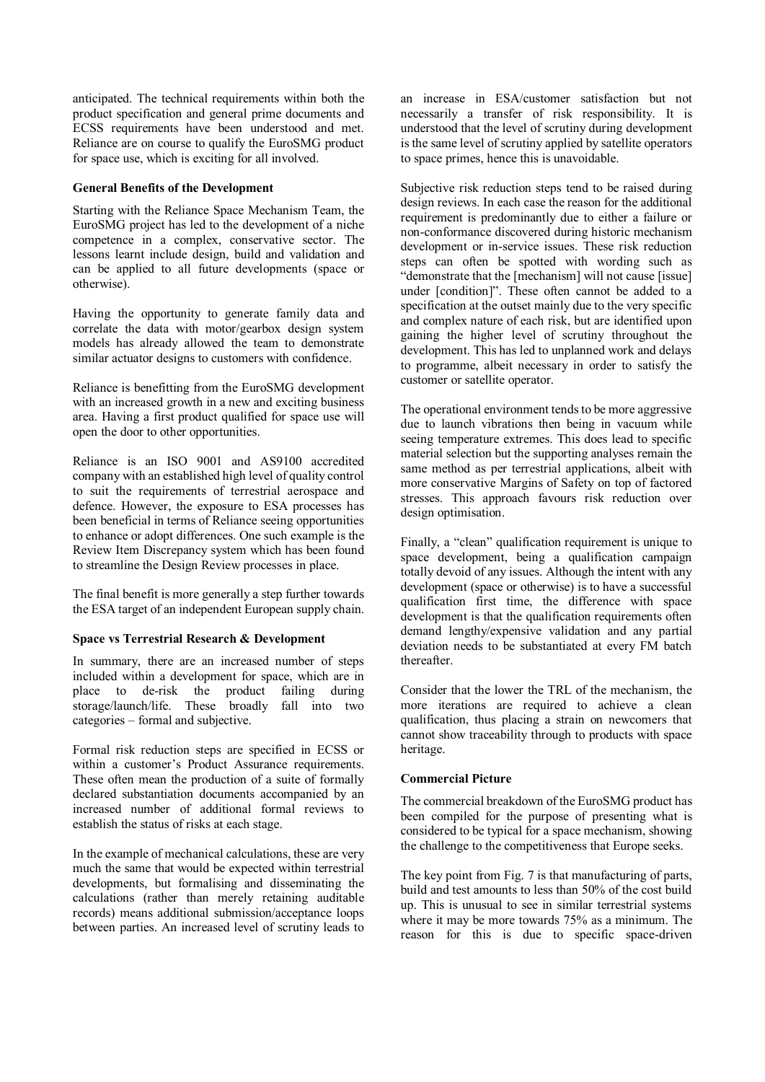anticipated. The technical requirements within both the product specification and general prime documents and ECSS requirements have been understood and met. Reliance are on course to qualify the EuroSMG product for space use, which is exciting for all involved.

### **General Benefits of the Development**

Starting with the Reliance Space Mechanism Team, the EuroSMG project has led to the development of a niche competence in a complex, conservative sector. The lessons learnt include design, build and validation and can be applied to all future developments (space or otherwise).

Having the opportunity to generate family data and correlate the data with motor/gearbox design system models has already allowed the team to demonstrate similar actuator designs to customers with confidence.

Reliance is benefitting from the EuroSMG development with an increased growth in a new and exciting business area. Having a first product qualified for space use will open the door to other opportunities.

Reliance is an ISO 9001 and AS9100 accredited company with an established high level of quality control to suit the requirements of terrestrial aerospace and defence. However, the exposure to ESA processes has been beneficial in terms of Reliance seeing opportunities to enhance or adopt differences. One such example is the Review Item Discrepancy system which has been found to streamline the Design Review processes in place.

The final benefit is more generally a step further towards the ESA target of an independent European supply chain.

### **Space vs Terrestrial Research & Development**

In summary, there are an increased number of steps included within a development for space, which are in place to de-risk the product failing during storage/launch/life. These broadly fall into two categories – formal and subjective.

Formal risk reduction steps are specified in ECSS or within a customer's Product Assurance requirements. These often mean the production of a suite of formally declared substantiation documents accompanied by an increased number of additional formal reviews to establish the status of risks at each stage.

In the example of mechanical calculations, these are very much the same that would be expected within terrestrial developments, but formalising and disseminating the calculations (rather than merely retaining auditable records) means additional submission/acceptance loops between parties. An increased level of scrutiny leads to an increase in ESA/customer satisfaction but not necessarily a transfer of risk responsibility. It is understood that the level of scrutiny during development is the same level of scrutiny applied by satellite operators to space primes, hence this is unavoidable.

Subjective risk reduction steps tend to be raised during design reviews. In each case the reason for the additional requirement is predominantly due to either a failure or non-conformance discovered during historic mechanism development or in-service issues. These risk reduction steps can often be spotted with wording such as "demonstrate that the [mechanism] will not cause [issue] under [condition]". These often cannot be added to a specification at the outset mainly due to the very specific and complex nature of each risk, but are identified upon gaining the higher level of scrutiny throughout the development. This has led to unplanned work and delays to programme, albeit necessary in order to satisfy the customer or satellite operator.

The operational environment tends to be more aggressive due to launch vibrations then being in vacuum while seeing temperature extremes. This does lead to specific material selection but the supporting analyses remain the same method as per terrestrial applications, albeit with more conservative Margins of Safety on top of factored stresses. This approach favours risk reduction over design optimisation.

Finally, a "clean" qualification requirement is unique to space development, being a qualification campaign totally devoid of any issues. Although the intent with any development (space or otherwise) is to have a successful qualification first time, the difference with space development is that the qualification requirements often demand lengthy/expensive validation and any partial deviation needs to be substantiated at every FM batch thereafter.

Consider that the lower the TRL of the mechanism, the more iterations are required to achieve a clean qualification, thus placing a strain on newcomers that cannot show traceability through to products with space heritage.

#### **Commercial Picture**

The commercial breakdown of the EuroSMG product has been compiled for the purpose of presenting what is considered to be typical for a space mechanism, showing the challenge to the competitiveness that Europe seeks.

The key point from Fig. 7 is that manufacturing of parts, build and test amounts to less than 50% of the cost build up. This is unusual to see in similar terrestrial systems where it may be more towards 75% as a minimum. The reason for this is due to specific space-driven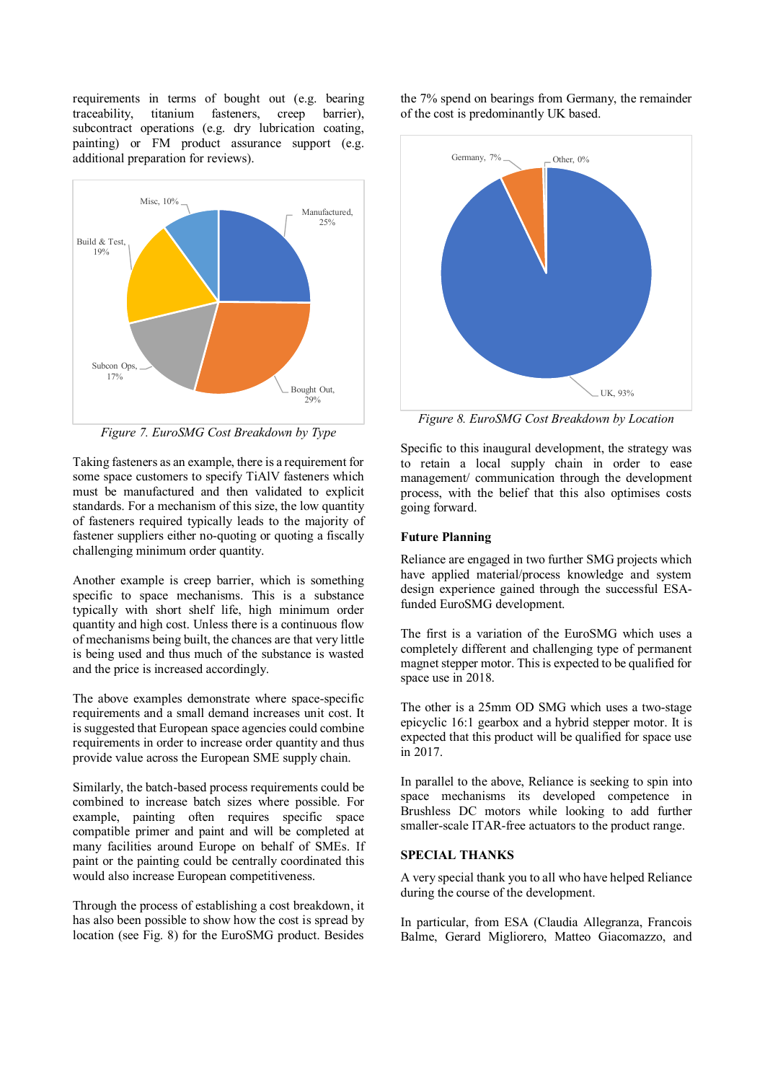requirements in terms of bought out (e.g. bearing traceability, titanium fasteners, creep barrier), subcontract operations (e.g. dry lubrication coating, painting) or FM product assurance support (e.g. additional preparation for reviews).



*Figure 7. EuroSMG Cost Breakdown by Type*

Taking fasteners as an example, there is a requirement for some space customers to specify TiAlV fasteners which must be manufactured and then validated to explicit standards. For a mechanism of this size, the low quantity of fasteners required typically leads to the majority of fastener suppliers either no-quoting or quoting a fiscally challenging minimum order quantity.

Another example is creep barrier, which is something specific to space mechanisms. This is a substance typically with short shelf life, high minimum order quantity and high cost. Unless there is a continuous flow of mechanisms being built, the chances are that very little is being used and thus much of the substance is wasted and the price is increased accordingly.

The above examples demonstrate where space-specific requirements and a small demand increases unit cost. It is suggested that European space agencies could combine requirements in order to increase order quantity and thus provide value across the European SME supply chain.

Similarly, the batch-based process requirements could be combined to increase batch sizes where possible. For example, painting often requires specific space compatible primer and paint and will be completed at many facilities around Europe on behalf of SMEs. If paint or the painting could be centrally coordinated this would also increase European competitiveness.

Through the process of establishing a cost breakdown, it has also been possible to show how the cost is spread by location (see Fig. 8) for the EuroSMG product. Besides the 7% spend on bearings from Germany, the remainder of the cost is predominantly UK based.



*Figure 8. EuroSMG Cost Breakdown by Location*

Specific to this inaugural development, the strategy was to retain a local supply chain in order to ease management/ communication through the development process, with the belief that this also optimises costs going forward.

## **Future Planning**

Reliance are engaged in two further SMG projects which have applied material/process knowledge and system design experience gained through the successful ESAfunded EuroSMG development.

The first is a variation of the EuroSMG which uses a completely different and challenging type of permanent magnet stepper motor. This is expected to be qualified for space use in 2018.

The other is a 25mm OD SMG which uses a two-stage epicyclic 16:1 gearbox and a hybrid stepper motor. It is expected that this product will be qualified for space use in 2017.

In parallel to the above, Reliance is seeking to spin into space mechanisms its developed competence in Brushless DC motors while looking to add further smaller-scale ITAR-free actuators to the product range.

## **SPECIAL THANKS**

A very special thank you to all who have helped Reliance during the course of the development.

In particular, from ESA (Claudia Allegranza, Francois Balme, Gerard Migliorero, Matteo Giacomazzo, and